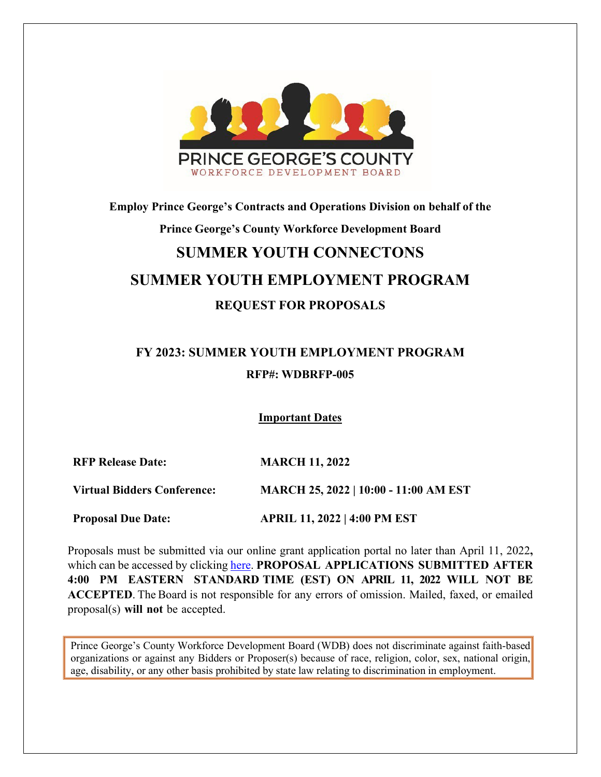

# **Employ Prince George's Contracts and Operations Division on behalf of the Prince George's County Workforce Development Board SUMMER YOUTH CONNECTONS SUMMER YOUTH EMPLOYMENT PROGRAM**

## **REQUEST FOR PROPOSALS**

# **FY 2023: SUMMER YOUTH EMPLOYMENT PROGRAM RFP#: WDBRFP-005**

**Important Dates**

**RFP Release Date: MARCH 11, 2022**

**Virtual Bidders Conference: MARCH 25, 2022 | 10:00 - 11:00 AM EST**

**Proposal Due Date: APRIL 11, 2022 | 4:00 PM EST**

Proposals must be submitted via our online grant application portal no later than April 11, 2022**,**  which can be accessed by clicking [here.](https://www.grantrequest.com/SID_6250?SA=SNA&FID=35025) **PROPOSAL APPLICATIONS SUBMITTED AFTER 4:00 PM EASTERN STANDARD TIME (EST) ON APRIL 11, 2022 WILL NOT BE ACCEPTED**. The Board is not responsible for any errors of omission. Mailed, faxed, or emailed proposal(s) **will not** be accepted.

Prince George's County Workforce Development Board (WDB) does not discriminate against faith-based organizations or against any Bidders or Proposer(s) because of race, religion, color, sex, national origin, age, disability, or any other basis prohibited by state law relating to discrimination in employment.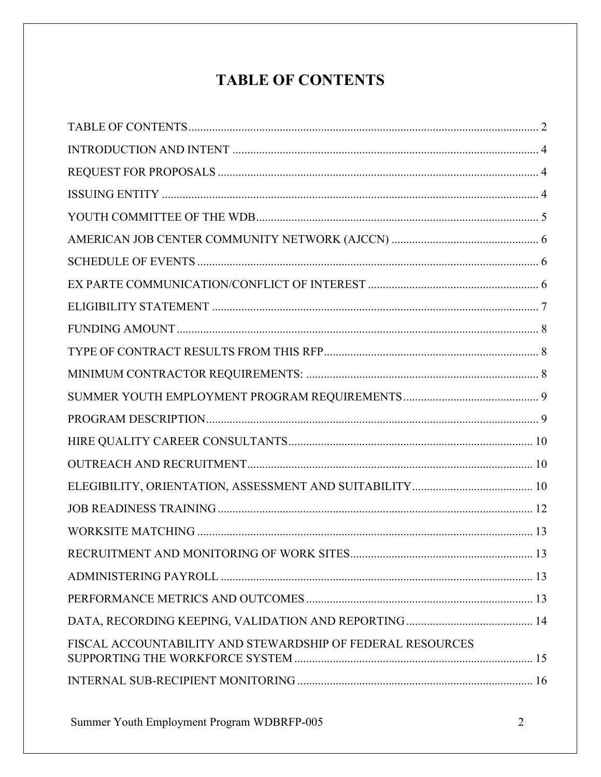# **TABLE OF CONTENTS**

<span id="page-1-0"></span>

| FISCAL ACCOUNTABILITY AND STEWARDSHIP OF FEDERAL RESOURCES |
|------------------------------------------------------------|
|                                                            |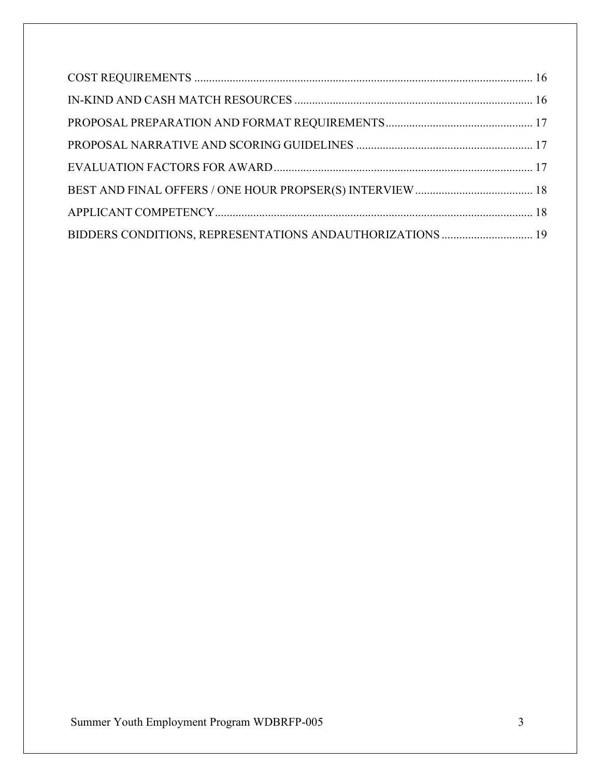| BIDDERS CONDITIONS, REPRESENTATIONS ANDAUTHORIZATIONS  19 |  |
|-----------------------------------------------------------|--|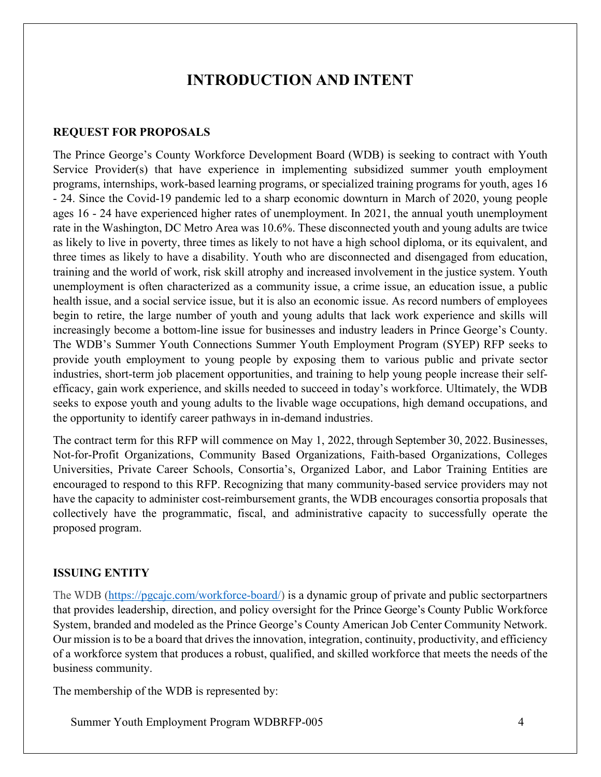## **INTRODUCTION AND INTENT**

#### <span id="page-3-1"></span><span id="page-3-0"></span>**REQUEST FOR PROPOSALS**

The Prince George's County Workforce Development Board (WDB) is seeking to contract with Youth Service Provider(s) that have experience in implementing subsidized summer youth employment programs, internships, work-based learning programs, or specialized training programs for youth, ages 16 - 24. Since the Covid-19 pandemic led to a sharp economic downturn in March of 2020, young people ages 16 - 24 have experienced higher rates of unemployment. In 2021, the annual youth unemployment rate in the Washington, DC Metro Area was 10.6%. These disconnected youth and young adults are twice as likely to live in poverty, three times as likely to not have a high school diploma, or its equivalent, and three times as likely to have a disability. Youth who are disconnected and disengaged from education, training and the world of work, risk skill atrophy and increased involvement in the justice system. Youth unemployment is often characterized as a community issue, a crime issue, an education issue, a public health issue, and a social service issue, but it is also an economic issue. As record numbers of employees begin to retire, the large number of youth and young adults that lack work experience and skills will increasingly become a bottom-line issue for businesses and industry leaders in Prince George's County. The WDB's Summer Youth Connections Summer Youth Employment Program (SYEP) RFP seeks to provide youth employment to young people by exposing them to various public and private sector industries, short-term job placement opportunities, and training to help young people increase their selfefficacy, gain work experience, and skills needed to succeed in today's workforce. Ultimately, the WDB seeks to expose youth and young adults to the livable wage occupations, high demand occupations, and the opportunity to identify career pathways in in-demand industries.

The contract term for this RFP will commence on May 1, 2022, through September 30, 2022. Businesses, Not-for-Profit Organizations, Community Based Organizations, Faith-based Organizations, Colleges Universities, Private Career Schools, Consortia's, Organized Labor, and Labor Training Entities are encouraged to respond to this RFP. Recognizing that many community-based service providers may not have the capacity to administer cost-reimbursement grants, the WDB encourages consortia proposals that collectively have the programmatic, fiscal, and administrative capacity to successfully operate the proposed program.

#### <span id="page-3-2"></span>**ISSUING ENTITY**

The [WDB](http://www.princegeorgesworkforce.org/) [\(https://pgcajc.com/workforce-board/\)](https://pgcajc.com/workforce-board/) [is](http://www.princegeorgesworkforce.org/) a dynamic group of private and public sectorpartners that provides leadership, direction, and policy oversight for the Prince George's County Public Workforce System, branded and modeled as the Prince George's County American Job Center Community Network. Our mission is to be a board that drives the innovation, integration, continuity, productivity, and efficiency of a workforce system that produces a robust, qualified, and skilled workforce that meets the needs of the business community.

The membership of the WDB is represented by: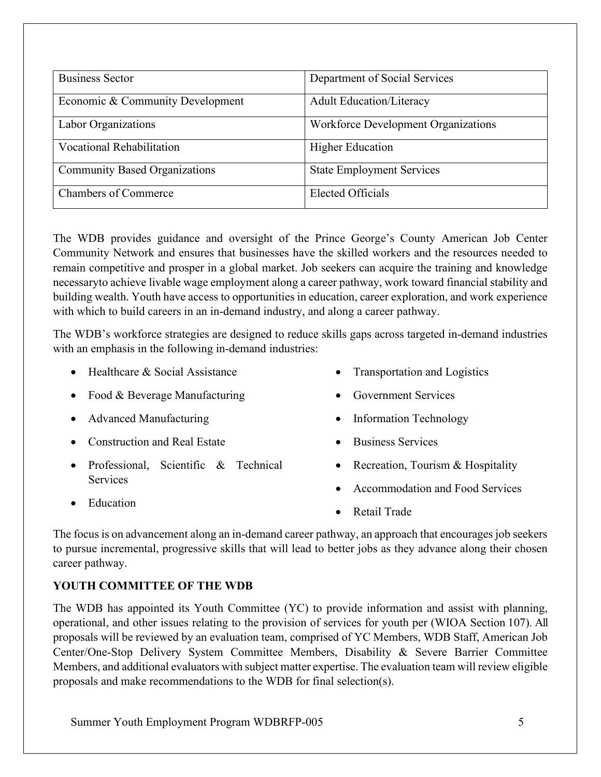| <b>Business Sector</b>               | Department of Social Services              |
|--------------------------------------|--------------------------------------------|
| Economic & Community Development     | <b>Adult Education/Literacy</b>            |
| Labor Organizations                  | <b>Workforce Development Organizations</b> |
| <b>Vocational Rehabilitation</b>     | <b>Higher Education</b>                    |
| <b>Community Based Organizations</b> | <b>State Employment Services</b>           |
| <b>Chambers of Commerce</b>          | <b>Elected Officials</b>                   |

The WDB provides guidance and oversight of the Prince George's County American Job Center Community Network and ensures that businesses have the skilled workers and the resources needed to remain competitive and prosper in a global market. Job seekers can acquire the training and knowledge necessaryto achieve livable wage employment along a career pathway, work toward financial stability and building wealth. Youth have access to opportunities in education, career exploration, and work experience with which to build careers in an in-demand industry, and along a career pathway.

The WDB's workforce strategies are designed to reduce skills gaps across targeted in-demand industries with an emphasis in the following in-demand industries:

- Healthcare & Social Assistance
	- Food & Beverage Manufacturing
	- Advanced Manufacturing
	- Construction and Real Estate
	- Professional, Scientific & Technical **Services**
- Transportation and Logistics
- Government Services
- Information Technology
- Business Services
- Recreation, Tourism & Hospitality
- Accommodation and Food Services

• Education

Retail Trade

The focus is on advancement along an in-demand career pathway, an approach that encourages job seekers to pursue incremental, progressive skills that will lead to better jobs as they advance along their chosen career pathway.

#### <span id="page-4-0"></span>**YOUTH COMMITTEE OF THE WDB**

The WDB has appointed its Youth Committee (YC) to provide information and assist with planning, operational, and other issues relating to the provision of services for youth per (WIOA Section 107). All proposals will be reviewed by an evaluation team, comprised of YC Members, WDB Staff, American Job Center/One-Stop Delivery System Committee Members, Disability & Severe Barrier Committee Members, and additional evaluators with subject matter expertise. The evaluation team will review eligible proposals and make recommendations to the WDB for final selection(s).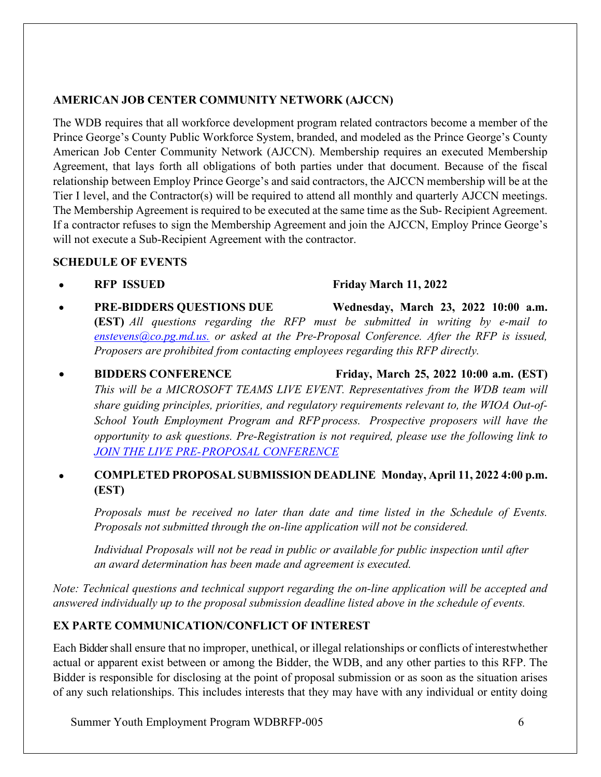#### <span id="page-5-0"></span>**AMERICAN JOB CENTER COMMUNITY NETWORK (AJCCN)**

The WDB requires that all workforce development program related contractors become a member of the Prince George's County Public Workforce System, branded, and modeled as the Prince George's County American Job Center Community Network (AJCCN). Membership requires an executed Membership Agreement, that lays forth all obligations of both parties under that document. Because of the fiscal relationship between Employ Prince George's and said contractors, the AJCCN membership will be at the Tier I level, and the Contractor(s) will be required to attend all monthly and quarterly AJCCN meetings. The Membership Agreement is required to be executed at the same time as the Sub- Recipient Agreement. If a contractor refuses to sign the Membership Agreement and join the AJCCN, Employ Prince George's will not execute a Sub-Recipient Agreement with the contractor.

#### <span id="page-5-1"></span>**SCHEDULE OF EVENTS**

• **RFP ISSUED Friday March 11, 2022**

## • **PRE-BIDDERS QUESTIONS DUE Wednesday, March 23, 2022 10:00 a.m. (EST)** *All questions regarding the RFP must be submitted in writing by e-mail to [enstevens@co.pg.md.us.](mailto:enstevens@co.pg.md.us.) or asked at the Pre-Proposal Conference. After the RFP is issued, Proposers are prohibited from contacting employees regarding this RFP directly.*

## • **BIDDERS CONFERENCE Friday, March 25, 2022 10:00 a.m. (EST)** *This will be a MICROSOFT TEAMS LIVE EVENT. Representatives from the WDB team will share guiding principles, priorities, and regulatory requirements relevant to, the WIOA Out-of-School Youth Employment Program and RFP process. Prospective proposers will have the opportunity to ask questions. Pre-Registration is not required, please use the following link to JOIN THE LIVE PRE-PROPOSAL [CONFERENCE](https://teams.microsoft.com/l/meetup-join/19%3ameeting_MjY0YjBlYmUtMmRiNC00OWJlLTgxMGItNmU4NmVkYjUzNTky%40thread.v2/0?context=%7b%22Tid%22%3a%2239c87ab3-6612-42c0-9620-a696d12df803%22%2c%22Oid%22%3a%2202fea95e-6b73-4a2c-90e3-1a1d061433be%22%2c%22IsBroadcastMeeting%22%3atrue%7d&btype=a&role=a)*

#### • **COMPLETED PROPOSALSUBMISSION DEADLINE Monday, April 11, 2022 4:00 p.m. (EST)**

*Proposals must be received no later than date and time listed in the Schedule of Events. Proposals not submitted through the on-line application will not be considered.*

*Individual Proposals will not be read in public or available for public inspection until after an award determination has been made and agreement is executed.*

*Note: Technical questions and technical support regarding the on-line application will be accepted and answered individually up to the proposal submission deadline listed above in the schedule of events.* 

## <span id="page-5-2"></span>**EX PARTE COMMUNICATION/CONFLICT OF INTEREST**

Each Biddershall ensure that no improper, unethical, or illegal relationships or conflicts of interestwhether actual or apparent exist between or among the Bidder, the WDB, and any other parties to this RFP. The Bidder is responsible for disclosing at the point of proposal submission or as soon as the situation arises of any such relationships. This includes interests that they may have with any individual or entity doing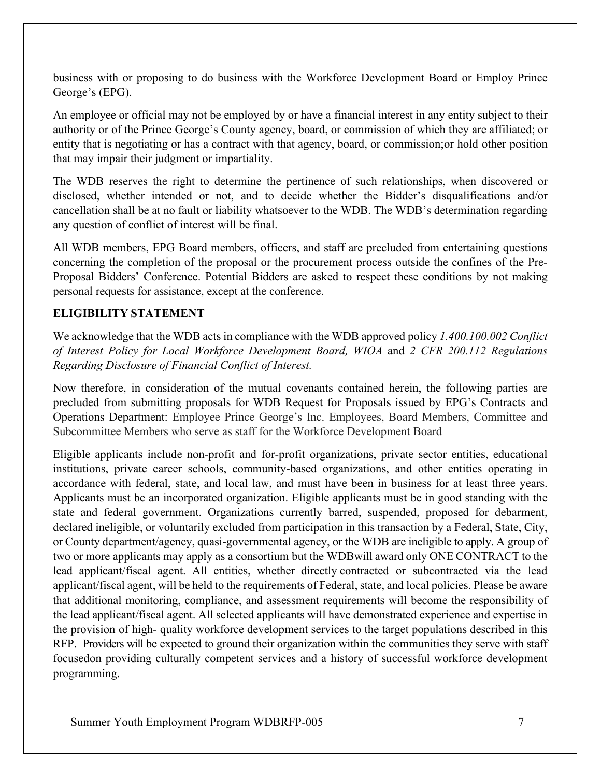business with or proposing to do business with the Workforce Development Board or Employ Prince George's (EPG).

An employee or official may not be employed by or have a financial interest in any entity subject to their authority or of the Prince George's County agency, board, or commission of which they are affiliated; or entity that is negotiating or has a contract with that agency, board, or commission;or hold other position that may impair their judgment or impartiality.

The WDB reserves the right to determine the pertinence of such relationships, when discovered or disclosed, whether intended or not, and to decide whether the Bidder's disqualifications and/or cancellation shall be at no fault or liability whatsoever to the WDB. The WDB's determination regarding any question of conflict of interest will be final.

All WDB members, EPG Board members, officers, and staff are precluded from entertaining questions concerning the completion of the proposal or the procurement process outside the confines of the Pre-Proposal Bidders' Conference. Potential Bidders are asked to respect these conditions by not making personal requests for assistance, except at the conference.

## <span id="page-6-0"></span>**ELIGIBILITY STATEMENT**

We acknowledge that the WDB acts in compliance with the WDB approved policy *1.400.100.002 Conflict of Interest Policy for Local Workforce Development Board, WIOA* and *2 CFR 200.112 Regulations Regarding Disclosure of Financial Conflict of Interest.*

Now therefore, in consideration of the mutual covenants contained herein, the following parties are precluded from submitting proposals for WDB Request for Proposals issued by EPG's Contracts and Operations Department: Employee Prince George's Inc. Employees, Board Members, Committee and Subcommittee Members who serve as staff for the Workforce Development Board

Eligible applicants include non-profit and for-profit organizations, private sector entities, educational institutions, private career schools, community-based organizations, and other entities operating in accordance with federal, state, and local law, and must have been in business for at least three years. Applicants must be an incorporated organization. Eligible applicants must be in good standing with the state and federal government. Organizations currently barred, suspended, proposed for debarment, declared ineligible, or voluntarily excluded from participation in this transaction by a Federal, State, City, or County department/agency, quasi-governmental agency, or the WDB are ineligible to apply. A group of two or more applicants may apply as a consortium but the WDBwill award only ONE CONTRACT to the lead applicant/fiscal agent. All entities, whether directly contracted or subcontracted via the lead applicant/fiscal agent, will be held to the requirements of Federal, state, and local policies. Please be aware that additional monitoring, compliance, and assessment requirements will become the responsibility of the lead applicant/fiscal agent. All selected applicants will have demonstrated experience and expertise in the provision of high- quality workforce development services to the target populations described in this RFP. Providers will be expected to ground their organization within the communities they serve with staff focusedon providing culturally competent services and a history of successful workforce development programming.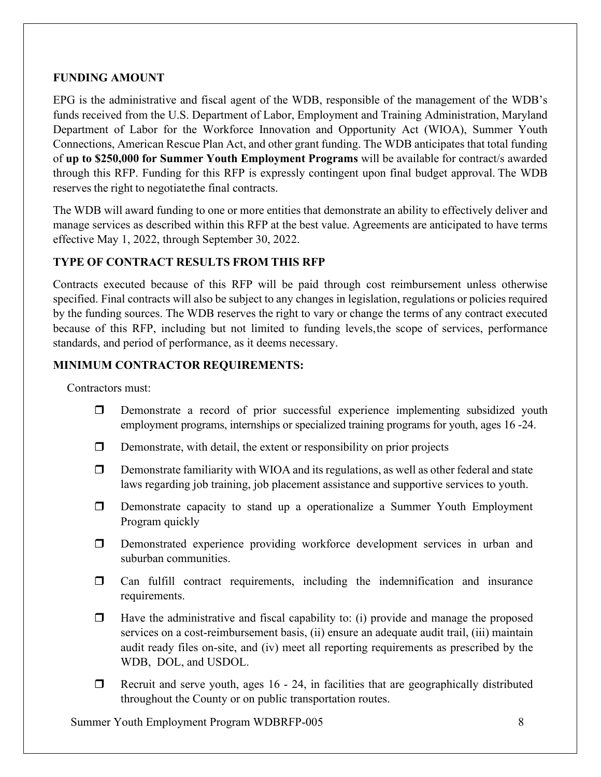#### <span id="page-7-0"></span>**FUNDING AMOUNT**

EPG is the administrative and fiscal agent of the WDB, responsible of the management of the WDB's funds received from the U.S. Department of Labor, Employment and Training Administration, Maryland Department of Labor for the Workforce Innovation and Opportunity Act (WIOA), Summer Youth Connections, American Rescue Plan Act, and other grant funding. The WDB anticipates that total funding of **up to \$250,000 for Summer Youth Employment Programs** will be available for contract/s awarded through this RFP. Funding for this RFP is expressly contingent upon final budget approval. The WDB reserves the right to negotiatethe final contracts.

The WDB will award funding to one or more entities that demonstrate an ability to effectively deliver and manage services as described within this RFP at the best value. Agreements are anticipated to have terms effective May 1, 2022, through September 30, 2022.

## <span id="page-7-1"></span>**TYPE OF CONTRACT RESULTS FROM THIS RFP**

Contracts executed because of this RFP will be paid through cost reimbursement unless otherwise specified. Final contracts will also be subject to any changes in legislation, regulations or policies required by the funding sources. The WDB reserves the right to vary or change the terms of any contract executed because of this RFP, including but not limited to funding levels,the scope of services, performance standards, and period of performance, as it deems necessary.

## <span id="page-7-2"></span>**MINIMUM CONTRACTOR REQUIREMENTS:**

Contractors must:

- Demonstrate a record of prior successful experience implementing subsidized youth employment programs, internships or specialized training programs for youth, ages 16 -24.
- $\Box$  Demonstrate, with detail, the extent or responsibility on prior projects
- $\Box$  Demonstrate familiarity with WIOA and its regulations, as well as other federal and state laws regarding job training, job placement assistance and supportive services to youth.
- Demonstrate capacity to stand up a operationalize a Summer Youth Employment Program quickly
- Demonstrated experience providing workforce development services in urban and suburban communities.
- $\Box$  Can fulfill contract requirements, including the indemnification and insurance requirements.
- $\Box$  Have the administrative and fiscal capability to: (i) provide and manage the proposed services on a cost-reimbursement basis, (ii) ensure an adequate audit trail, (iii) maintain audit ready files on-site, and (iv) meet all reporting requirements as prescribed by the WDB, DOL, and USDOL.
- $\Box$  Recruit and serve youth, ages 16 24, in facilities that are geographically distributed throughout the County or on public transportation routes.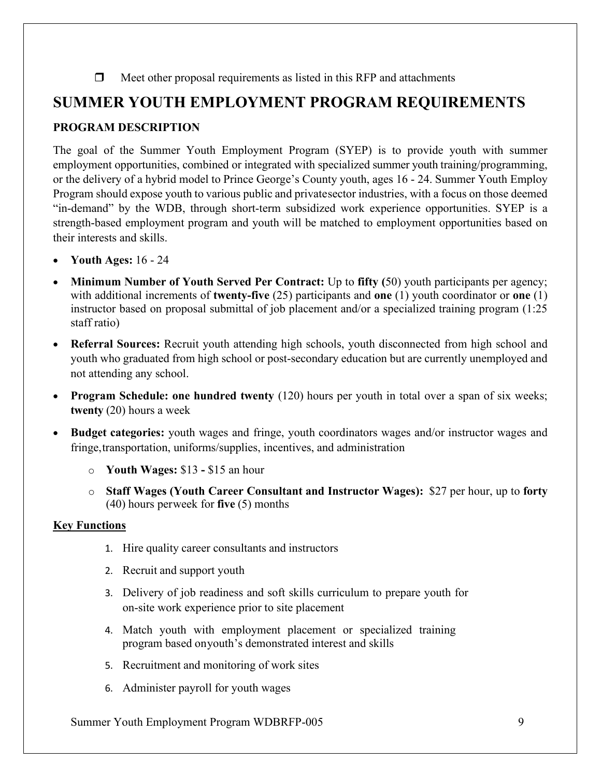#### $\Box$  Meet other proposal requirements as listed in this RFP and attachments

## <span id="page-8-0"></span>**SUMMER YOUTH EMPLOYMENT PROGRAM REQUIREMENTS**

### <span id="page-8-1"></span>**PROGRAM DESCRIPTION**

The goal of the Summer Youth Employment Program (SYEP) is to provide youth with summer employment opportunities, combined or integrated with specialized summer youth training/programming, or the delivery of a hybrid model to Prince George's County youth, ages 16 - 24. Summer Youth Employ Program should expose youth to various public and privatesector industries, with a focus on those deemed "in-demand" by the WDB, through short-term subsidized work experience opportunities. SYEP is a strength-based employment program and youth will be matched to employment opportunities based on their interests and skills.

- **Youth Ages:** 16 24
- **Minimum Number of Youth Served Per Contract:** Up to **fifty (**50) youth participants per agency; with additional increments of **twenty-five** (25) participants and **one** (1) youth coordinator or **one** (1) instructor based on proposal submittal of job placement and/or a specialized training program (1:25 staff ratio)
- **Referral Sources:** Recruit youth attending high schools, youth disconnected from high school and youth who graduated from high school or post-secondary education but are currently unemployed and not attending any school.
- **Program Schedule: one hundred twenty** (120) hours per youth in total over a span of six weeks; **twenty** (20) hours a week
- **Budget categories:** youth wages and fringe, youth coordinators wages and/or instructor wages and fringe,transportation, uniforms/supplies, incentives, and administration
	- o **Youth Wages:** \$13 **-** \$15 an hour
	- o **Staff Wages (Youth Career Consultant and Instructor Wages):** \$27 per hour, up to **forty** (40) hours perweek for **five** (5) months

#### **Key Functions**

- 1. Hire quality career consultants and instructors
- 2. Recruit and support youth
- 3. Delivery of job readiness and soft skills curriculum to prepare youth for on-site work experience prior to site placement
- 4. Match youth with employment placement or specialized training program based onyouth's demonstrated interest and skills
- 5. Recruitment and monitoring of work sites
- 6. Administer payroll for youth wages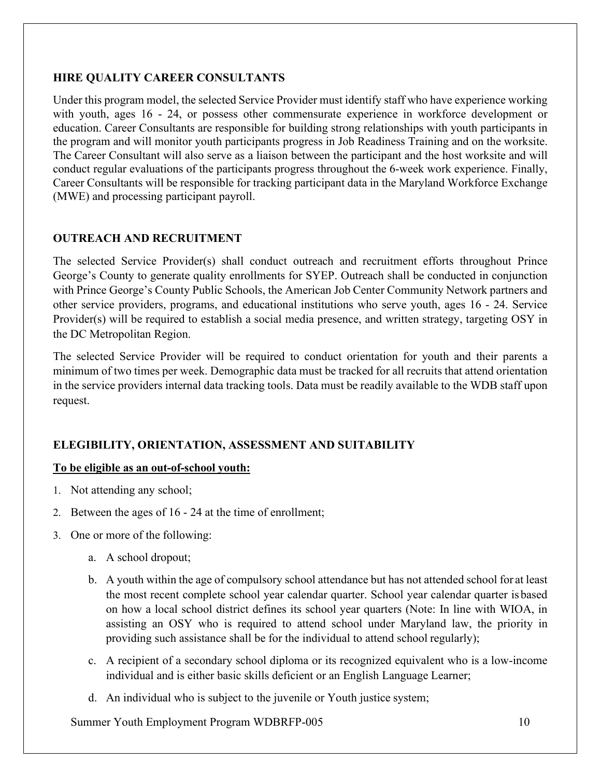#### <span id="page-9-0"></span>**HIRE QUALITY CAREER CONSULTANTS**

Under this program model, the selected Service Provider must identify staff who have experience working with youth, ages 16 - 24, or possess other commensurate experience in workforce development or education. Career Consultants are responsible for building strong relationships with youth participants in the program and will monitor youth participants progress in Job Readiness Training and on the worksite. The Career Consultant will also serve as a liaison between the participant and the host worksite and will conduct regular evaluations of the participants progress throughout the 6-week work experience. Finally, Career Consultants will be responsible for tracking participant data in the Maryland Workforce Exchange (MWE) and processing participant payroll.

## <span id="page-9-1"></span>**OUTREACH AND RECRUITMENT**

The selected Service Provider(s) shall conduct outreach and recruitment efforts throughout Prince George's County to generate quality enrollments for SYEP. Outreach shall be conducted in conjunction with Prince George's County Public Schools, the American Job Center Community Network partners and other service providers, programs, and educational institutions who serve youth, ages 16 - 24. Service Provider(s) will be required to establish a social media presence, and written strategy, targeting OSY in the DC Metropolitan Region.

The selected Service Provider will be required to conduct orientation for youth and their parents a minimum of two times per week. Demographic data must be tracked for all recruits that attend orientation in the service providers internal data tracking tools. Data must be readily available to the WDB staff upon request.

## <span id="page-9-2"></span>**ELEGIBILITY, ORIENTATION, ASSESSMENT AND SUITABILITY**

#### **To be eligible as an out-of-school youth:**

- 1. Not attending any school;
- 2. Between the ages of 16 24 at the time of enrollment;
- 3. One or more of the following:
	- a. A school dropout;
	- b. A youth within the age of compulsory school attendance but has not attended school for at least the most recent complete school year calendar quarter. School year calendar quarter isbased on how a local school district defines its school year quarters (Note: In line with WIOA, in assisting an OSY who is required to attend school under Maryland law, the priority in providing such assistance shall be for the individual to attend school regularly);
	- c. A recipient of a secondary school diploma or its recognized equivalent who is a low-income individual and is either basic skills deficient or an English Language Learner;
	- d. An individual who is subject to the juvenile or Youth justice system;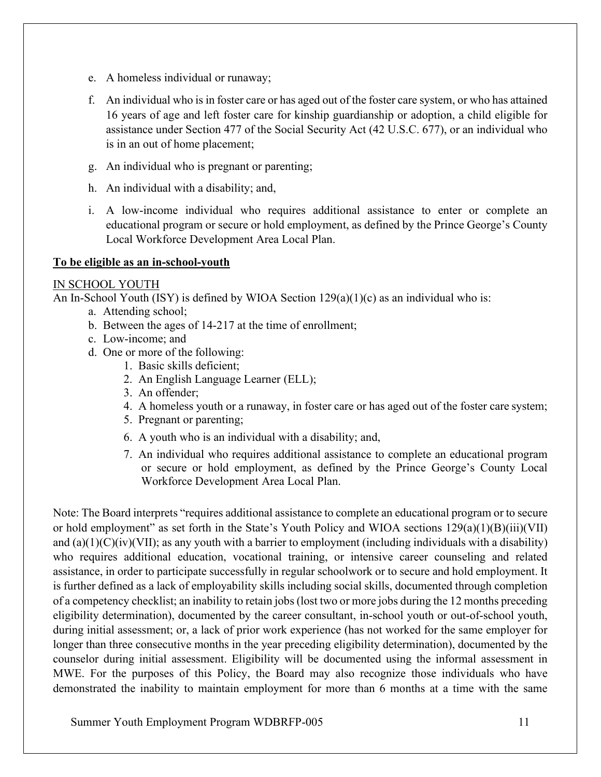- e. A homeless individual or runaway;
- f. An individual who is in foster care or has aged out of the foster care system, or who has attained 16 years of age and left foster care for kinship guardianship or adoption, a child eligible for assistance under Section 477 of the Social Security Act (42 U.S.C. 677), or an individual who is in an out of home placement;
- g. An individual who is pregnant or parenting;
- h. An individual with a disability; and,
- i. A low-income individual who requires additional assistance to enter or complete an educational program or secure or hold employment, as defined by the Prince George's County Local Workforce Development Area Local Plan.

#### **To be eligible as an in-school-youth**

#### IN SCHOOL YOUTH

An In-School Youth (ISY) is defined by WIOA Section 129(a)(1)(c) as an individual who is:

- a. Attending school;
- b. Between the ages of 14-217 at the time of enrollment;
- c. Low-income; and
- d. One or more of the following:
	- 1. Basic skills deficient;
	- 2. An English Language Learner (ELL);
	- 3. An offender;
	- 4. A homeless youth or a runaway, in foster care or has aged out of the foster care system;
	- 5. Pregnant or parenting;
	- 6. A youth who is an individual with a disability; and,
	- 7. An individual who requires additional assistance to complete an educational program or secure or hold employment, as defined by the Prince George's County Local Workforce Development Area Local Plan.

Note: The Board interprets "requires additional assistance to complete an educational program or to secure or hold employment" as set forth in the State's Youth Policy and WIOA sections 129(a)(1)(B)(iii)(VII) and  $(a)(1)(C)(iv)(VII)$ ; as any youth with a barrier to employment (including individuals with a disability) who requires additional education, vocational training, or intensive career counseling and related assistance, in order to participate successfully in regular schoolwork or to secure and hold employment. It is further defined as a lack of employability skills including social skills, documented through completion of a competency checklist; an inability to retain jobs (lost two or more jobs during the 12 months preceding eligibility determination), documented by the career consultant, in-school youth or out-of-school youth, during initial assessment; or, a lack of prior work experience (has not worked for the same employer for longer than three consecutive months in the year preceding eligibility determination), documented by the counselor during initial assessment. Eligibility will be documented using the informal assessment in MWE. For the purposes of this Policy, the Board may also recognize those individuals who have demonstrated the inability to maintain employment for more than 6 months at a time with the same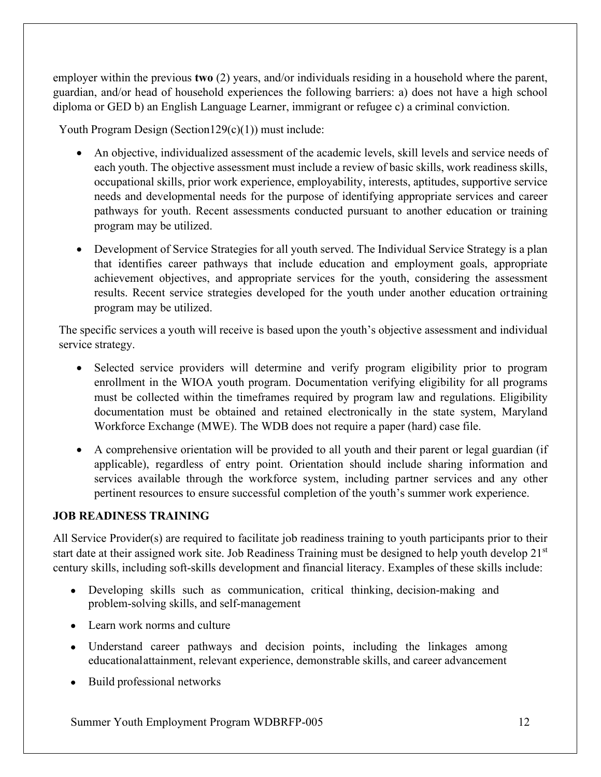employer within the previous **two** (2) years, and/or individuals residing in a household where the parent, guardian, and/or head of household experiences the following barriers: a) does not have a high school diploma or GED b) an English Language Learner, immigrant or refugee c) a criminal conviction.

Youth Program Design (Section129(c)(1)) must include:

- An objective, individualized assessment of the academic levels, skill levels and service needs of each youth. The objective assessment must include a review of basic skills, work readiness skills, occupational skills, prior work experience, employability, interests, aptitudes, supportive service needs and developmental needs for the purpose of identifying appropriate services and career pathways for youth. Recent assessments conducted pursuant to another education or training program may be utilized.
- Development of Service Strategies for all youth served. The Individual Service Strategy is a plan that identifies career pathways that include education and employment goals, appropriate achievement objectives, and appropriate services for the youth, considering the assessment results. Recent service strategies developed for the youth under another education ortraining program may be utilized.

The specific services a youth will receive is based upon the youth's objective assessment and individual service strategy.

- Selected service providers will determine and verify program eligibility prior to program enrollment in the WIOA youth program. Documentation verifying eligibility for all programs must be collected within the timeframes required by program law and regulations. Eligibility documentation must be obtained and retained electronically in the state system, Maryland Workforce Exchange (MWE). The WDB does not require a paper (hard) case file.
- A comprehensive orientation will be provided to all youth and their parent or legal guardian (if applicable), regardless of entry point. Orientation should include sharing information and services available through the workforce system, including partner services and any other pertinent resources to ensure successful completion of the youth's summer work experience.

#### <span id="page-11-0"></span>**JOB READINESS TRAINING**

All Service Provider(s) are required to facilitate job readiness training to youth participants prior to their start date at their assigned work site. Job Readiness Training must be designed to help youth develop 21<sup>st</sup> century skills, including soft-skills development and financial literacy. Examples of these skills include:

- Developing skills such as communication, critical thinking, decision-making and problem-solving skills, and self-management
- Learn work norms and culture
- Understand career pathways and decision points, including the linkages among educationalattainment, relevant experience, demonstrable skills, and career advancement
- Build professional networks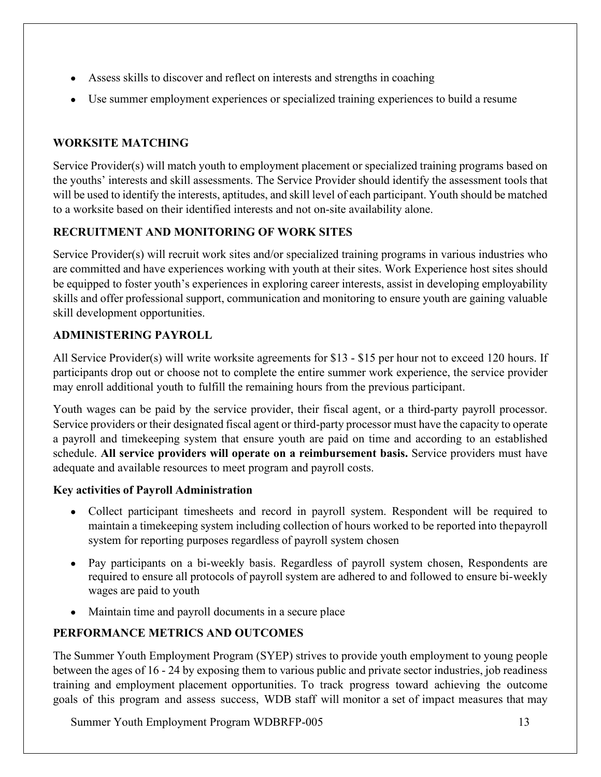- Assess skills to discover and reflect on interests and strengths in coaching
- Use summer employment experiences or specialized training experiences to build a resume

## <span id="page-12-0"></span>**WORKSITE MATCHING**

Service Provider(s) will match youth to employment placement or specialized training programs based on the youths' interests and skill assessments. The Service Provider should identify the assessment tools that will be used to identify the interests, aptitudes, and skill level of each participant. Youth should be matched to a worksite based on their identified interests and not on-site availability alone.

## <span id="page-12-1"></span>**RECRUITMENT AND MONITORING OF WORK SITES**

Service Provider(s) will recruit work sites and/or specialized training programs in various industries who are committed and have experiences working with youth at their sites. Work Experience host sites should be equipped to foster youth's experiences in exploring career interests, assist in developing employability skills and offer professional support, communication and monitoring to ensure youth are gaining valuable skill development opportunities.

## <span id="page-12-2"></span>**ADMINISTERING PAYROLL**

All Service Provider(s) will write worksite agreements for \$13 - \$15 per hour not to exceed 120 hours. If participants drop out or choose not to complete the entire summer work experience, the service provider may enroll additional youth to fulfill the remaining hours from the previous participant.

Youth wages can be paid by the service provider, their fiscal agent, or a third-party payroll processor. Service providers or their designated fiscal agent or third-party processor must have the capacity to operate a payroll and timekeeping system that ensure youth are paid on time and according to an established schedule. **All service providers will operate on a reimbursement basis.** Service providers must have adequate and available resources to meet program and payroll costs.

## **Key activities of Payroll Administration**

- Collect participant timesheets and record in payroll system. Respondent will be required to maintain a timekeeping system including collection of hours worked to be reported into thepayroll system for reporting purposes regardless of payroll system chosen
- Pay participants on a bi-weekly basis. Regardless of payroll system chosen, Respondents are required to ensure all protocols of payroll system are adhered to and followed to ensure bi-weekly wages are paid to youth
- Maintain time and payroll documents in a secure place

## <span id="page-12-3"></span>**PERFORMANCE METRICS AND OUTCOMES**

The Summer Youth Employment Program (SYEP) strives to provide youth employment to young people between the ages of 16 - 24 by exposing them to various public and private sector industries, job readiness training and employment placement opportunities. To track progress toward achieving the outcome goals of this program and assess success, WDB staff will monitor a set of impact measures that may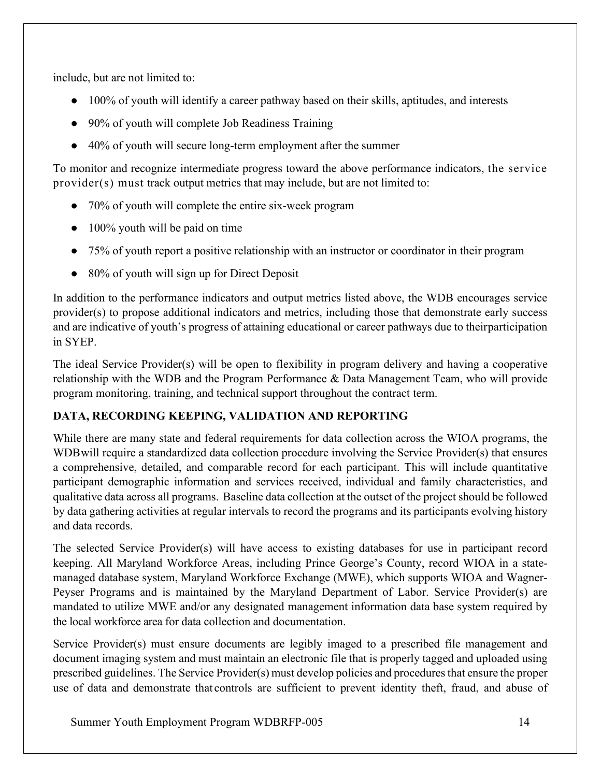include, but are not limited to:

- 100% of youth will identify a career pathway based on their skills, aptitudes, and interests
- 90% of youth will complete Job Readiness Training
- 40% of youth will secure long-term employment after the summer

To monitor and recognize intermediate progress toward the above performance indicators, the service provider(s) must track output metrics that may include, but are not limited to:

- 70% of youth will complete the entire six-week program
- 100% youth will be paid on time
- 75% of youth report a positive relationship with an instructor or coordinator in their program
- 80% of youth will sign up for Direct Deposit

In addition to the performance indicators and output metrics listed above, the WDB encourages service provider(s) to propose additional indicators and metrics, including those that demonstrate early success and are indicative of youth's progress of attaining educational or career pathways due to theirparticipation in SYEP.

The ideal Service Provider(s) will be open to flexibility in program delivery and having a cooperative relationship with the WDB and the Program Performance & Data Management Team, who will provide program monitoring, training, and technical support throughout the contract term.

## <span id="page-13-0"></span>**DATA, RECORDING KEEPING, VALIDATION AND REPORTING**

While there are many state and federal requirements for data collection across the WIOA programs, the WDBwill require a standardized data collection procedure involving the Service Provider(s) that ensures a comprehensive, detailed, and comparable record for each participant. This will include quantitative participant demographic information and services received, individual and family characteristics, and qualitative data across all programs. Baseline data collection at the outset of the project should be followed by data gathering activities at regular intervals to record the programs and its participants evolving history and data records.

The selected Service Provider(s) will have access to existing databases for use in participant record keeping. All Maryland Workforce Areas, including Prince George's County, record WIOA in a statemanaged database system, Maryland Workforce Exchange (MWE), which supports WIOA and Wagner-Peyser Programs and is maintained by the Maryland Department of Labor. Service Provider(s) are mandated to utilize MWE and/or any designated management information data base system required by the local workforce area for data collection and documentation.

Service Provider(s) must ensure documents are legibly imaged to a prescribed file management and document imaging system and must maintain an electronic file that is properly tagged and uploaded using prescribed guidelines. The Service Provider(s) must develop policies and procedures that ensure the proper use of data and demonstrate that controls are sufficient to prevent identity theft, fraud, and abuse of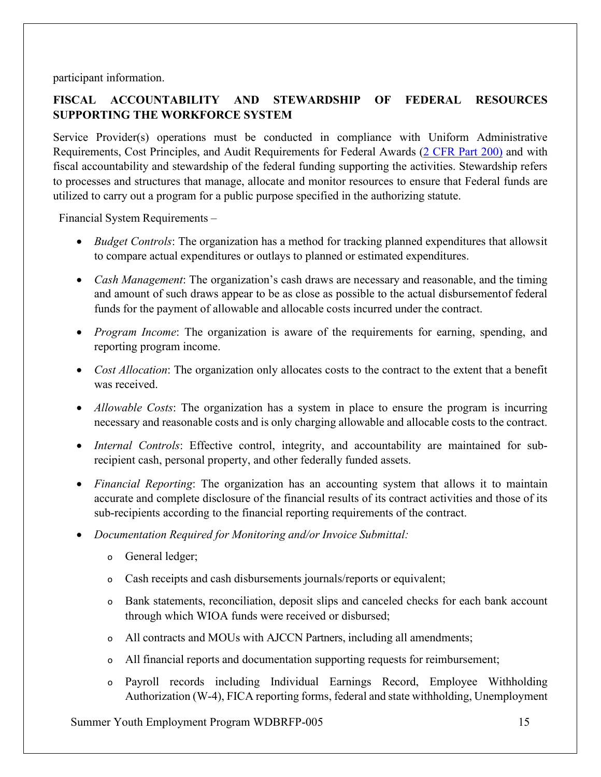participant information.

## <span id="page-14-0"></span>**FISCAL ACCOUNTABILITY AND STEWARDSHIP OF FEDERAL RESOURCES SUPPORTING THE WORKFORCE SYSTEM**

Service Provider(s) operations must be conducted in compliance with Uniform Administrative Requirements, Cost Principles, and Audit Requirements for Federal Awards (2 [CFR](http://www.ecfr.gov/cgi-bin/text-idx?SID=c6259f3b5bd125ddb50bcd723357b000&mc=true&node=pt2.1.200&rgn=div5) Part 200) and with fiscal accountability and stewardship of the federal funding supporting the activities. Stewardship refers to processes and structures that manage, allocate and monitor resources to ensure that Federal funds are utilized to carry out a program for a public purpose specified in the authorizing statute.

Financial System Requirements –

- *Budget Controls*: The organization has a method for tracking planned expenditures that allowsit to compare actual expenditures or outlays to planned or estimated expenditures.
- *Cash Management*: The organization's cash draws are necessary and reasonable, and the timing and amount of such draws appear to be as close as possible to the actual disbursementof federal funds for the payment of allowable and allocable costs incurred under the contract.
- *Program Income*: The organization is aware of the requirements for earning, spending, and reporting program income.
- *Cost Allocation*: The organization only allocates costs to the contract to the extent that a benefit was received.
- *Allowable Costs*: The organization has a system in place to ensure the program is incurring necessary and reasonable costs and is only charging allowable and allocable costs to the contract.
- *Internal Controls*: Effective control, integrity, and accountability are maintained for subrecipient cash, personal property, and other federally funded assets.
- *Financial Reporting*: The organization has an accounting system that allows it to maintain accurate and complete disclosure of the financial results of its contract activities and those of its sub-recipients according to the financial reporting requirements of the contract.
- *Documentation Required for Monitoring and/or Invoice Submittal:*
	- o General ledger;
	- o Cash receipts and cash disbursements journals/reports or equivalent;
	- o Bank statements, reconciliation, deposit slips and canceled checks for each bank account through which WIOA funds were received or disbursed;
	- o All contracts and MOUs with AJCCN Partners, including all amendments;
	- o All financial reports and documentation supporting requests for reimbursement;
	- o Payroll records including Individual Earnings Record, Employee Withholding Authorization (W-4), FICA reporting forms, federal and state withholding, Unemployment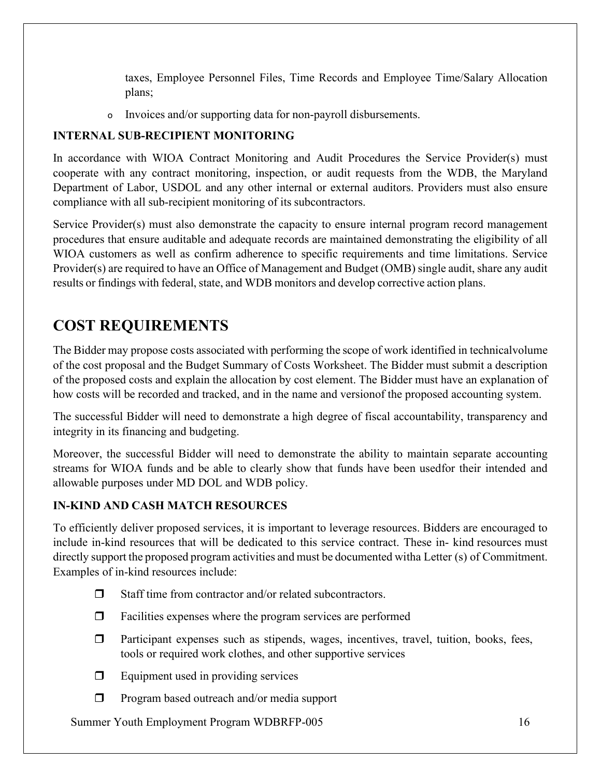taxes, Employee Personnel Files, Time Records and Employee Time/Salary Allocation plans;

o Invoices and/or supporting data for non-payroll disbursements.

## <span id="page-15-0"></span>**INTERNAL SUB-RECIPIENT MONITORING**

In accordance with WIOA Contract Monitoring and Audit Procedures the Service Provider(s) must cooperate with any contract monitoring, inspection, or audit requests from the WDB, the Maryland Department of Labor, USDOL and any other internal or external auditors. Providers must also ensure compliance with all sub-recipient monitoring of its subcontractors.

Service Provider(s) must also demonstrate the capacity to ensure internal program record management procedures that ensure auditable and adequate records are maintained demonstrating the eligibility of all WIOA customers as well as confirm adherence to specific requirements and time limitations. Service Provider(s) are required to have an Office of Management and Budget (OMB) single audit, share any audit results or findings with federal, state, and WDB monitors and develop corrective action plans.

# <span id="page-15-1"></span>**COST REQUIREMENTS**

The Bidder may propose costs associated with performing the scope of work identified in technicalvolume of the cost proposal and the Budget Summary of Costs Worksheet. The Bidder must submit a description of the proposed costs and explain the allocation by cost element. The Bidder must have an explanation of how costs will be recorded and tracked, and in the name and versionof the proposed accounting system.

The successful Bidder will need to demonstrate a high degree of fiscal accountability, transparency and integrity in its financing and budgeting.

Moreover, the successful Bidder will need to demonstrate the ability to maintain separate accounting streams for WIOA funds and be able to clearly show that funds have been usedfor their intended and allowable purposes under MD DOL and WDB policy.

## <span id="page-15-2"></span>**IN-KIND AND CASH MATCH RESOURCES**

To efficiently deliver proposed services, it is important to leverage resources. Bidders are encouraged to include in-kind resources that will be dedicated to this service contract. These in- kind resources must directly support the proposed program activities and must be documented witha Letter (s) of Commitment. Examples of in-kind resources include:

- $\Box$  Staff time from contractor and/or related subcontractors.
- $\Box$  Facilities expenses where the program services are performed
- $\Box$  Participant expenses such as stipends, wages, incentives, travel, tuition, books, fees, tools or required work clothes, and other supportive services
- $\Box$  Equipment used in providing services
- $\Box$  Program based outreach and/or media support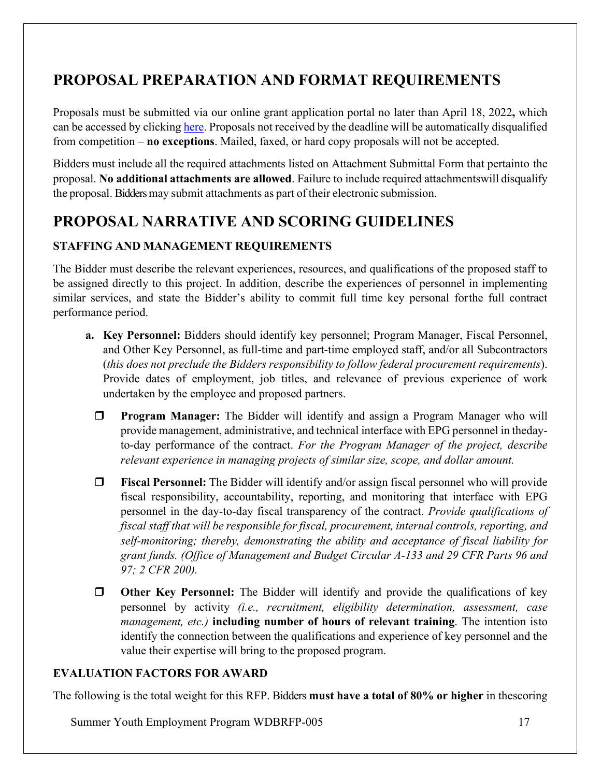# <span id="page-16-0"></span>**PROPOSAL PREPARATION AND FORMAT REQUIREMENTS**

Proposals must be submitted via our online grant application portal no later than April 18, 2022**,** which can be accessed by clicking [here.](https://www.grantrequest.com/SID_6250?SA=SNA&FID=35025) Proposals not received by the deadline will be automatically disqualified from competition – **no exceptions**. Mailed, faxed, or hard copy proposals will not be accepted.

Bidders must include all the required attachments listed on Attachment Submittal Form that pertainto the proposal. **No additional attachments are allowed**. Failure to include required attachmentswill disqualify the proposal. Bidders may submit attachments as part of their electronic submission.

# <span id="page-16-1"></span>**PROPOSAL NARRATIVE AND SCORING GUIDELINES**

## **STAFFING AND MANAGEMENT REQUIREMENTS**

The Bidder must describe the relevant experiences, resources, and qualifications of the proposed staff to be assigned directly to this project. In addition, describe the experiences of personnel in implementing similar services, and state the Bidder's ability to commit full time key personal forthe full contract performance period.

- **a. Key Personnel:** Bidders should identify key personnel; Program Manager, Fiscal Personnel, and Other Key Personnel, as full-time and part-time employed staff, and/or all Subcontractors (*this does not preclude the Bidders responsibility to follow federal procurement requirements*). Provide dates of employment, job titles, and relevance of previous experience of work undertaken by the employee and proposed partners.
	- **Program Manager:** The Bidder will identify and assign a Program Manager who will provide management, administrative, and technical interface with EPG personnel in thedayto-day performance of the contract. *For the Program Manager of the project, describe relevant experience in managing projects of similar size, scope, and dollar amount.*
	- **Fiscal Personnel:** The Bidder will identify and/or assign fiscal personnel who will provide fiscal responsibility, accountability, reporting, and monitoring that interface with EPG personnel in the day-to-day fiscal transparency of the contract. *Provide qualifications of fiscal staff that will be responsible for fiscal, procurement, internal controls, reporting, and self-monitoring; thereby, demonstrating the ability and acceptance of fiscal liability for grant funds. (Office of Management and Budget Circular A-133 and 29 CFR Parts 96 and 97; 2 CFR 200).*
	- **Other Key Personnel:** The Bidder will identify and provide the qualifications of key personnel by activity *(i.e., recruitment, eligibility determination, assessment, case management, etc.)* **including number of hours of relevant training**. The intention isto identify the connection between the qualifications and experience of key personnel and the value their expertise will bring to the proposed program.

## <span id="page-16-2"></span>**EVALUATION FACTORS FOR AWARD**

The following is the total weight for this RFP. Bidders **must have a total of 80% or higher** in thescoring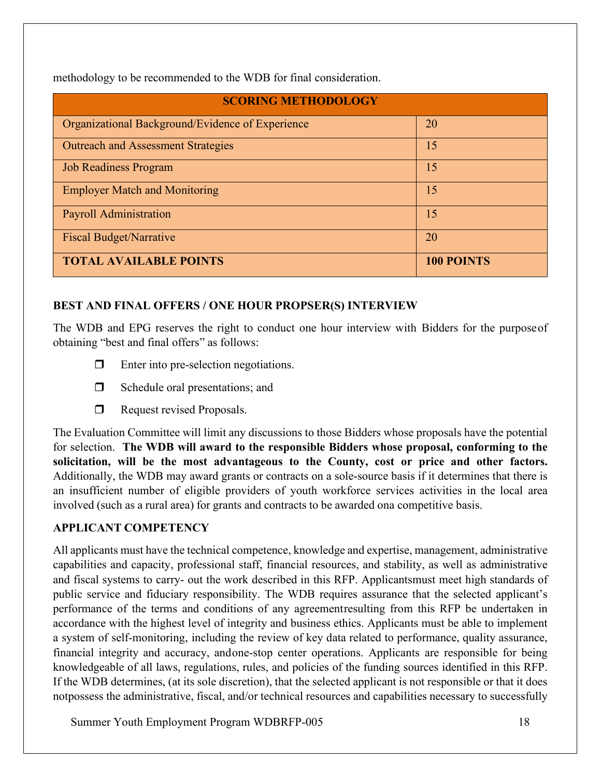methodology to be recommended to the WDB for final consideration.

| <b>SCORING METHODOLOGY</b>                       |                   |  |
|--------------------------------------------------|-------------------|--|
| Organizational Background/Evidence of Experience | 20                |  |
| <b>Outreach and Assessment Strategies</b>        | 15                |  |
| <b>Job Readiness Program</b>                     | 15                |  |
| <b>Employer Match and Monitoring</b>             | 15                |  |
| <b>Payroll Administration</b>                    | 15                |  |
| <b>Fiscal Budget/Narrative</b>                   | 20                |  |
| <b>TOTAL AVAILABLE POINTS</b>                    | <b>100 POINTS</b> |  |

## <span id="page-17-0"></span>**BEST AND FINAL OFFERS / ONE HOUR PROPSER(S) INTERVIEW**

The WDB and EPG reserves the right to conduct one hour interview with Bidders for the purposeof obtaining "best and final offers" as follows:

- $\Box$  Enter into pre-selection negotiations.
- $\Box$  Schedule oral presentations; and
- Request revised Proposals.

The Evaluation Committee will limit any discussions to those Bidders whose proposals have the potential for selection. **The WDB will award to the responsible Bidders whose proposal, conforming to the solicitation, will be the most advantageous to the County, cost or price and other factors.** Additionally, the WDB may award grants or contracts on a sole-source basis if it determines that there is an insufficient number of eligible providers of youth workforce services activities in the local area involved (such as a rural area) for grants and contracts to be awarded ona competitive basis.

## <span id="page-17-1"></span>**APPLICANT COMPETENCY**

All applicants must have the technical competence, knowledge and expertise, management, administrative capabilities and capacity, professional staff, financial resources, and stability, as well as administrative and fiscal systems to carry- out the work described in this RFP. Applicantsmust meet high standards of public service and fiduciary responsibility. The WDB requires assurance that the selected applicant's performance of the terms and conditions of any agreementresulting from this RFP be undertaken in accordance with the highest level of integrity and business ethics. Applicants must be able to implement a system of self-monitoring, including the review of key data related to performance, quality assurance, financial integrity and accuracy, andone-stop center operations. Applicants are responsible for being knowledgeable of all laws, regulations, rules, and policies of the funding sources identified in this RFP. If the WDB determines, (at its sole discretion), that the selected applicant is not responsible or that it does notpossess the administrative, fiscal, and/or technical resources and capabilities necessary to successfully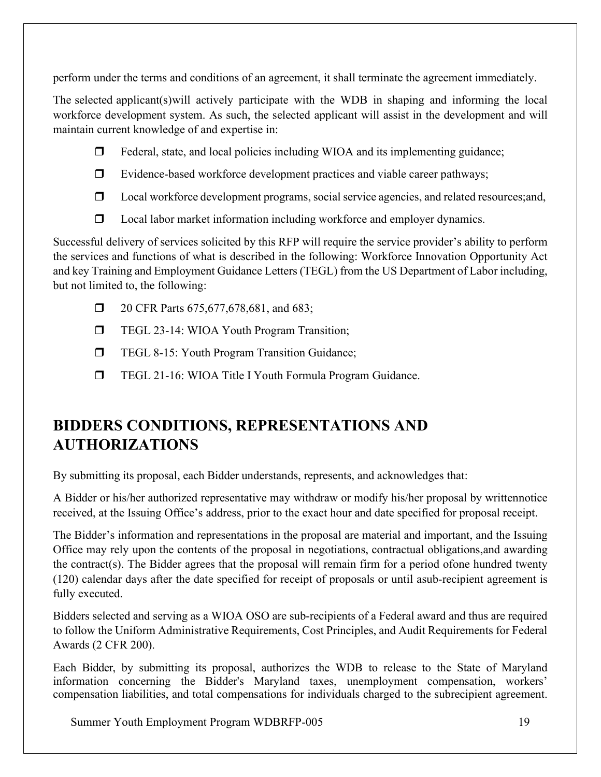perform under the terms and conditions of an agreement, it shall terminate the agreement immediately.

The selected applicant(s)will actively participate with the WDB in shaping and informing the local workforce development system. As such, the selected applicant will assist in the development and will maintain current knowledge of and expertise in:

- $\Box$  Federal, state, and local policies including WIOA and its implementing guidance;
- $\Box$  Evidence-based workforce development practices and viable career pathways;
- $\Box$  Local workforce development programs, social service agencies, and related resources; and,
- $\Box$  Local labor market information including workforce and employer dynamics.

Successful delivery of services solicited by this RFP will require the service provider's ability to perform the services and functions of what is described in the following: Workforce Innovation Opportunity Act and key Training and Employment Guidance Letters (TEGL) from the US Department of Labor including, but not limited to, the following:

- **1** 20 CFR Parts 675,677,678,681, and 683;
- **TEGL 23-14: WIOA Youth Program Transition;**
- **TEGL 8-15: Youth Program Transition Guidance;**
- **TEGL 21-16: WIOA Title I Youth Formula Program Guidance.**

# <span id="page-18-0"></span>**BIDDERS CONDITIONS, REPRESENTATIONS AND AUTHORIZATIONS**

By submitting its proposal, each Bidder understands, represents, and acknowledges that:

A Bidder or his/her authorized representative may withdraw or modify his/her proposal by writtennotice received, at the Issuing Office's address, prior to the exact hour and date specified for proposal receipt.

The Bidder's information and representations in the proposal are material and important, and the Issuing Office may rely upon the contents of the proposal in negotiations, contractual obligations,and awarding the contract(s). The Bidder agrees that the proposal will remain firm for a period ofone hundred twenty (120) calendar days after the date specified for receipt of proposals or until asub-recipient agreement is fully executed.

Bidders selected and serving as a WIOA OSO are sub-recipients of a Federal award and thus are required to follow the Uniform Administrative Requirements, Cost Principles, and Audit Requirements for Federal Awards (2 CFR 200).

Each Bidder, by submitting its proposal, authorizes the WDB to release to the State of Maryland information concerning the Bidder's Maryland taxes, unemployment compensation, workers' compensation liabilities, and total compensations for individuals charged to the subrecipient agreement.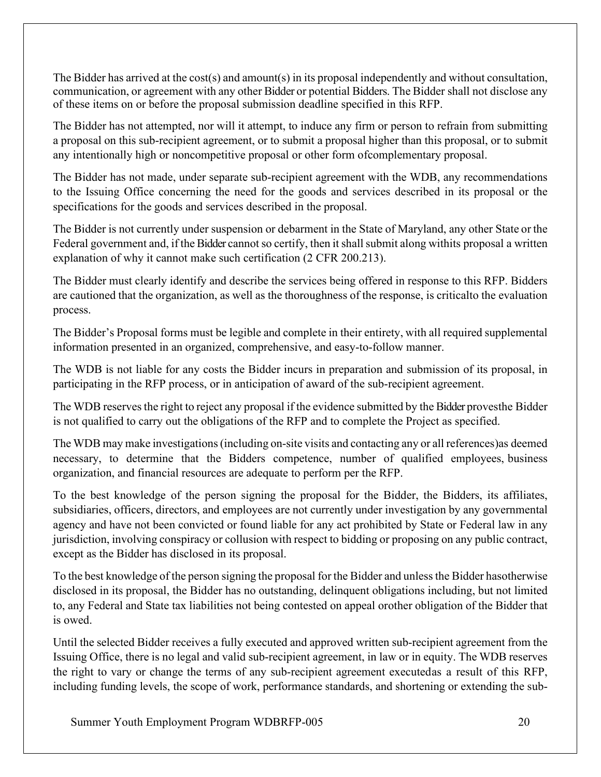The Bidder has arrived at the cost(s) and amount(s) in its proposal independently and without consultation, communication, or agreement with any other Bidder or potential Bidders. The Bidder shall not disclose any of these items on or before the proposal submission deadline specified in this RFP.

The Bidder has not attempted, nor will it attempt, to induce any firm or person to refrain from submitting a proposal on this sub-recipient agreement, or to submit a proposal higher than this proposal, or to submit any intentionally high or noncompetitive proposal or other form ofcomplementary proposal.

The Bidder has not made, under separate sub-recipient agreement with the WDB, any recommendations to the Issuing Office concerning the need for the goods and services described in its proposal or the specifications for the goods and services described in the proposal.

The Bidder is not currently under suspension or debarment in the State of Maryland, any other State or the Federal government and, if the Bidder cannot so certify, then it shall submit along withits proposal a written explanation of why it cannot make such certification (2 CFR 200.213).

The Bidder must clearly identify and describe the services being offered in response to this RFP. Bidders are cautioned that the organization, as well as the thoroughness of the response, is criticalto the evaluation process.

The Bidder's Proposal forms must be legible and complete in their entirety, with all required supplemental information presented in an organized, comprehensive, and easy-to-follow manner.

The WDB is not liable for any costs the Bidder incurs in preparation and submission of its proposal, in participating in the RFP process, or in anticipation of award of the sub-recipient agreement.

The WDB reservesthe right to reject any proposal if the evidence submitted by the Bidder provesthe Bidder is not qualified to carry out the obligations of the RFP and to complete the Project as specified.

The WDB may make investigations(including on-site visits and contacting any or all references)as deemed necessary, to determine that the Bidders competence, number of qualified employees, business organization, and financial resources are adequate to perform per the RFP.

To the best knowledge of the person signing the proposal for the Bidder, the Bidders, its affiliates, subsidiaries, officers, directors, and employees are not currently under investigation by any governmental agency and have not been convicted or found liable for any act prohibited by State or Federal law in any jurisdiction, involving conspiracy or collusion with respect to bidding or proposing on any public contract, except as the Bidder has disclosed in its proposal.

To the best knowledge of the person signing the proposal for the Bidder and unlessthe Bidder hasotherwise disclosed in its proposal, the Bidder has no outstanding, delinquent obligations including, but not limited to, any Federal and State tax liabilities not being contested on appeal orother obligation of the Bidder that is owed.

Until the selected Bidder receives a fully executed and approved written sub-recipient agreement from the Issuing Office, there is no legal and valid sub-recipient agreement, in law or in equity. The WDB reserves the right to vary or change the terms of any sub-recipient agreement executedas a result of this RFP, including funding levels, the scope of work, performance standards, and shortening or extending the sub